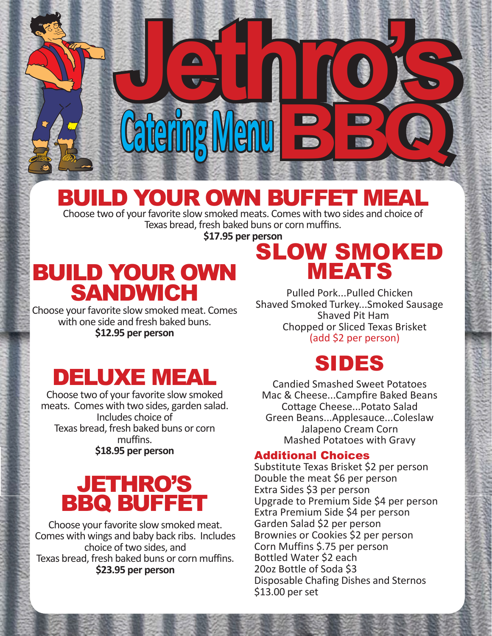# BUILD YOUR OWN BUFFET MEAL

 **Catering Menu** 

Choose two of your favorite slow smoked meats. Comes with two sides and choice of Texas bread, fresh baked buns or corn muffins.

**\$17.95 per person**

## BUILD YOUR OWN SANDWICH

Choose your favorite slow smoked meat. Comes with one side and fresh baked buns. **\$12.95 per person**

## SLOW SMOKED MEATS

**Jethro's Jethro's** 

Pulled Pork...Pulled Chicken Shaved Smoked Turkey...Smoked Sausage Shaved Pit Ham Chopped or Sliced Texas Brisket (add \$2 per person)

## DELUXE MEAL

Choose two of your favorite slow smoked meats. Comes with two sides, garden salad. Includes choice of Texas bread, fresh baked buns or corn muffins. **\$18.95 per person** 

### JETHRO'S BBQ BUFFET

Choose your favorite slow smoked meat. Comes with wings and baby back ribs. Includes choice of two sides, and Texas bread, fresh baked buns or corn muffins. **\$23.95 per person**

### SIDES

Candied Smashed Sweet Potatoes Mac & Cheese...Campfire Baked Beans Cottage Cheese...Potato Salad Green Beans...Applesauce...Coleslaw Jalapeno Cream Corn Mashed Potatoes with Gravy

#### Additional Choices

Substitute Texas Brisket \$2 per person Double the meat \$6 per person Extra Sides \$3 per person Upgrade to Premium Side \$4 per person Extra Premium Side \$4 per person Garden Salad \$2 per person Brownies or Cookies \$2 per person Corn Muffins \$.75 per person Bottled Water \$2 each 20oz Bottle of Soda \$3 Disposable Chafing Dishes and Sternos \$13.00 per set